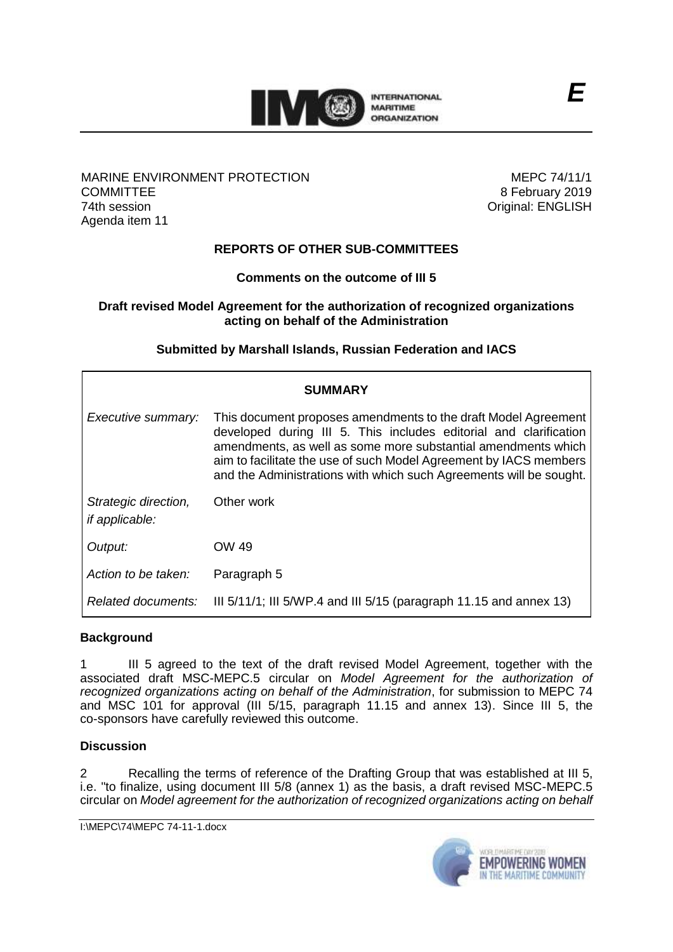

### MARINE ENVIRONMENT PROTECTION **COMMITTEE** 74th session Agenda item 11

MEPC 74/11/1 8 February 2019 Original: ENGLISH

# **REPORTS OF OTHER SUB-COMMITTEES**

# **Comments on the outcome of III 5**

## **Draft revised Model Agreement for the authorization of recognized organizations acting on behalf of the Administration**

# **Submitted by Marshall Islands, Russian Federation and IACS**

| <b>SUMMARY</b>                                |                                                                                                                                                                                                                                                                                                                                                 |
|-----------------------------------------------|-------------------------------------------------------------------------------------------------------------------------------------------------------------------------------------------------------------------------------------------------------------------------------------------------------------------------------------------------|
| Executive summary:                            | This document proposes amendments to the draft Model Agreement<br>developed during III 5. This includes editorial and clarification<br>amendments, as well as some more substantial amendments which<br>aim to facilitate the use of such Model Agreement by IACS members<br>and the Administrations with which such Agreements will be sought. |
| Strategic direction,<br><i>if applicable:</i> | Other work                                                                                                                                                                                                                                                                                                                                      |
| Output:                                       | OW 49                                                                                                                                                                                                                                                                                                                                           |
| Action to be taken:                           | Paragraph 5                                                                                                                                                                                                                                                                                                                                     |
| Related documents:                            | III $5/11/1$ ; III $5/WP.4$ and III $5/15$ (paragraph 11.15 and annex 13)                                                                                                                                                                                                                                                                       |

# **Background**

1 III 5 agreed to the text of the draft revised Model Agreement, together with the associated draft MSC-MEPC.5 circular on *Model Agreement for the authorization of recognized organizations acting on behalf of the Administration*, for submission to MEPC 74 and MSC 101 for approval (III 5/15, paragraph 11.15 and annex 13). Since III 5, the co-sponsors have carefully reviewed this outcome.

## **Discussion**

2 Recalling the terms of reference of the Drafting Group that was established at III 5, i.e. "to finalize, using document III 5/8 (annex 1) as the basis, a draft revised MSC-MEPC.5 circular on *Model agreement for the authorization of recognized organizations acting on behalf* 



*E*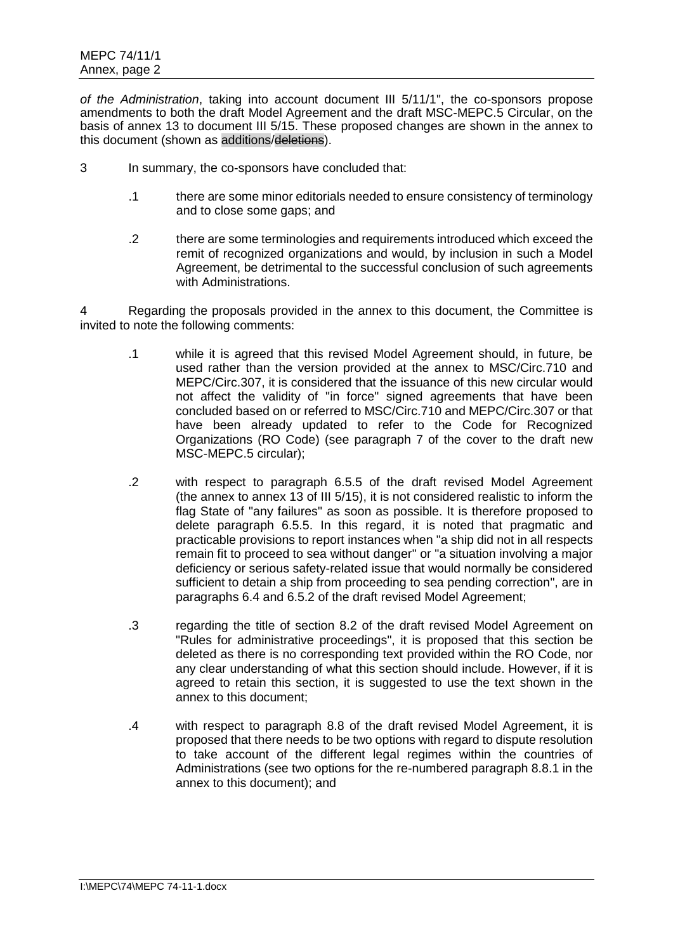*of the Administration*, taking into account document III 5/11/1", the co-sponsors propose amendments to both the draft Model Agreement and the draft MSC-MEPC.5 Circular, on the basis of annex 13 to document III 5/15. These proposed changes are shown in the annex to this document (shown as additions/deletions).

- 3 In summary, the co-sponsors have concluded that:
	- .1 there are some minor editorials needed to ensure consistency of terminology and to close some gaps; and
	- .2 there are some terminologies and requirements introduced which exceed the remit of recognized organizations and would, by inclusion in such a Model Agreement, be detrimental to the successful conclusion of such agreements with Administrations.

4 Regarding the proposals provided in the annex to this document, the Committee is invited to note the following comments:

- .1 while it is agreed that this revised Model Agreement should, in future, be used rather than the version provided at the annex to MSC/Circ.710 and MEPC/Circ.307, it is considered that the issuance of this new circular would not affect the validity of "in force" signed agreements that have been concluded based on or referred to MSC/Circ.710 and MEPC/Circ.307 or that have been already updated to refer to the Code for Recognized Organizations (RO Code) (see paragraph 7 of the cover to the draft new MSC-MEPC.5 circular);
- .2 with respect to paragraph 6.5.5 of the draft revised Model Agreement (the annex to annex 13 of III 5/15), it is not considered realistic to inform the flag State of "any failures" as soon as possible. It is therefore proposed to delete paragraph 6.5.5. In this regard, it is noted that pragmatic and practicable provisions to report instances when "a ship did not in all respects remain fit to proceed to sea without danger" or "a situation involving a major deficiency or serious safety-related issue that would normally be considered sufficient to detain a ship from proceeding to sea pending correction", are in paragraphs 6.4 and 6.5.2 of the draft revised Model Agreement;
- .3 regarding the title of section 8.2 of the draft revised Model Agreement on "Rules for administrative proceedings", it is proposed that this section be deleted as there is no corresponding text provided within the RO Code, nor any clear understanding of what this section should include. However, if it is agreed to retain this section, it is suggested to use the text shown in the annex to this document;
- .4 with respect to paragraph 8.8 of the draft revised Model Agreement, it is proposed that there needs to be two options with regard to dispute resolution to take account of the different legal regimes within the countries of Administrations (see two options for the re-numbered paragraph 8.8.1 in the annex to this document); and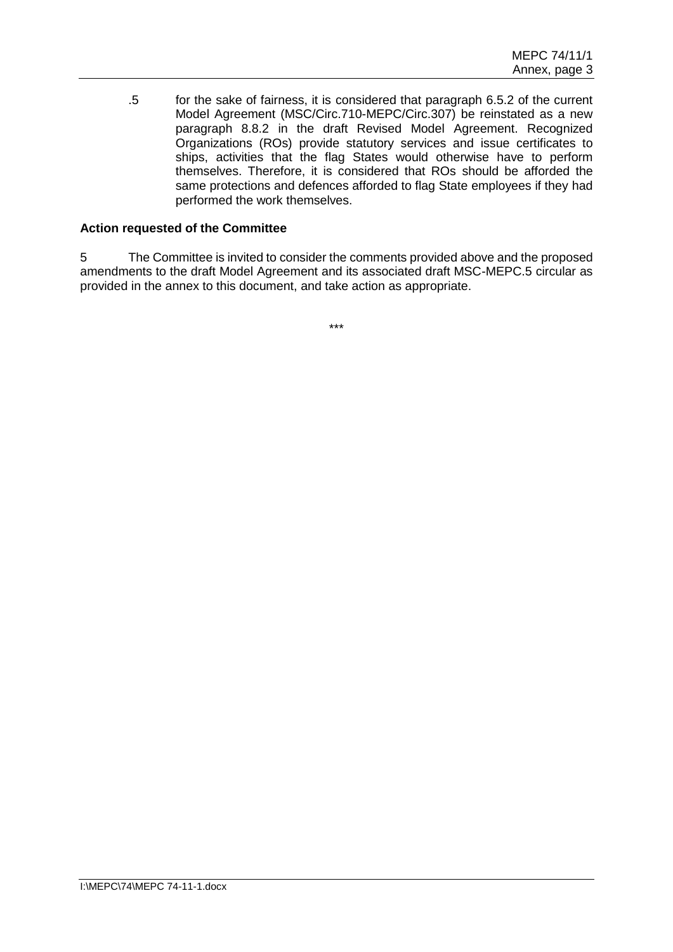.5 for the sake of fairness, it is considered that paragraph 6.5.2 of the current Model Agreement (MSC/Circ.710-MEPC/Circ.307) be reinstated as a new paragraph 8.8.2 in the draft Revised Model Agreement. Recognized Organizations (ROs) provide statutory services and issue certificates to ships, activities that the flag States would otherwise have to perform themselves. Therefore, it is considered that ROs should be afforded the same protections and defences afforded to flag State employees if they had performed the work themselves.

## **Action requested of the Committee**

5 The Committee is invited to consider the comments provided above and the proposed amendments to the draft Model Agreement and its associated draft MSC-MEPC.5 circular as provided in the annex to this document, and take action as appropriate.

\*\*\*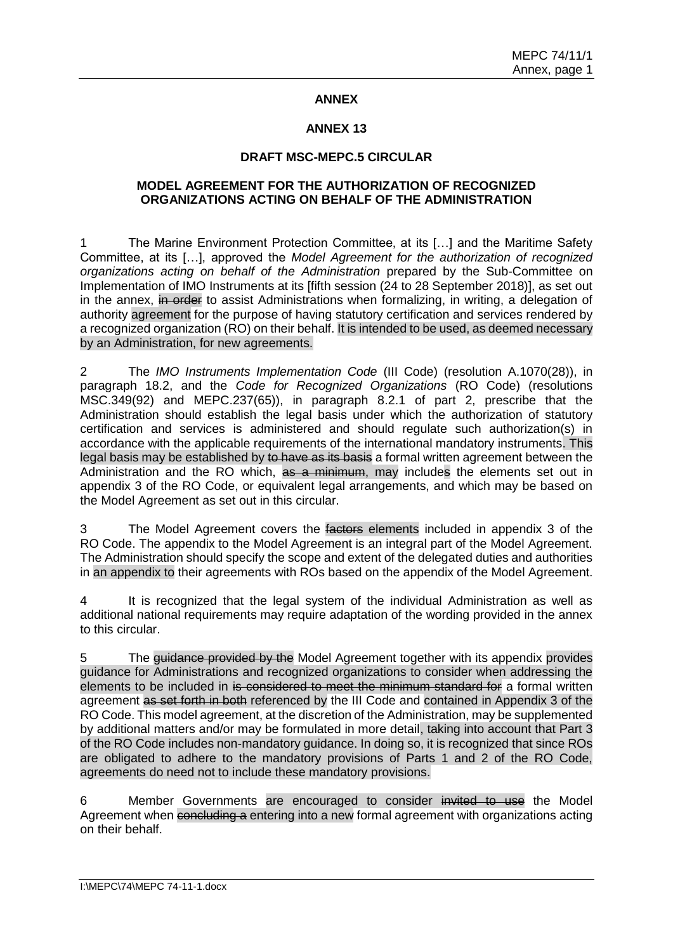## **ANNEX**

## **ANNEX 13**

### **DRAFT MSC-MEPC.5 CIRCULAR**

## **MODEL AGREEMENT FOR THE AUTHORIZATION OF RECOGNIZED ORGANIZATIONS ACTING ON BEHALF OF THE ADMINISTRATION**

1 The Marine Environment Protection Committee, at its […] and the Maritime Safety Committee, at its […], approved the *Model Agreement for the authorization of recognized organizations acting on behalf of the Administration* prepared by the Sub-Committee on Implementation of IMO Instruments at its [fifth session (24 to 28 September 2018)], as set out in the annex, in order to assist Administrations when formalizing, in writing, a delegation of authority agreement for the purpose of having statutory certification and services rendered by a recognized organization (RO) on their behalf. It is intended to be used, as deemed necessary by an Administration, for new agreements.

2 The *IMO Instruments Implementation Code* (III Code) (resolution A.1070(28)), in paragraph 18.2, and the *Code for Recognized Organizations* (RO Code) (resolutions MSC.349(92) and MEPC.237(65)), in paragraph 8.2.1 of part 2, prescribe that the Administration should establish the legal basis under which the authorization of statutory certification and services is administered and should regulate such authorization(s) in accordance with the applicable requirements of the international mandatory instruments. This legal basis may be established by to have as its basis a formal written agreement between the Administration and the RO which, as a minimum, may includes the elements set out in appendix 3 of the RO Code, or equivalent legal arrangements, and which may be based on the Model Agreement as set out in this circular.

3 The Model Agreement covers the factors elements included in appendix 3 of the RO Code. The appendix to the Model Agreement is an integral part of the Model Agreement. The Administration should specify the scope and extent of the delegated duties and authorities in an appendix to their agreements with ROs based on the appendix of the Model Agreement.

4 It is recognized that the legal system of the individual Administration as well as additional national requirements may require adaptation of the wording provided in the annex to this circular.

5 The guidance provided by the Model Agreement together with its appendix provides guidance for Administrations and recognized organizations to consider when addressing the elements to be included in is considered to meet the minimum standard for a formal written agreement as set forth in both referenced by the III Code and contained in Appendix 3 of the RO Code. This model agreement, at the discretion of the Administration, may be supplemented by additional matters and/or may be formulated in more detail, taking into account that Part 3 of the RO Code includes non-mandatory guidance. In doing so, it is recognized that since ROs are obligated to adhere to the mandatory provisions of Parts 1 and 2 of the RO Code, agreements do need not to include these mandatory provisions.

6 Member Governments are encouraged to consider invited to use the Model Agreement when concluding a entering into a new formal agreement with organizations acting on their behalf.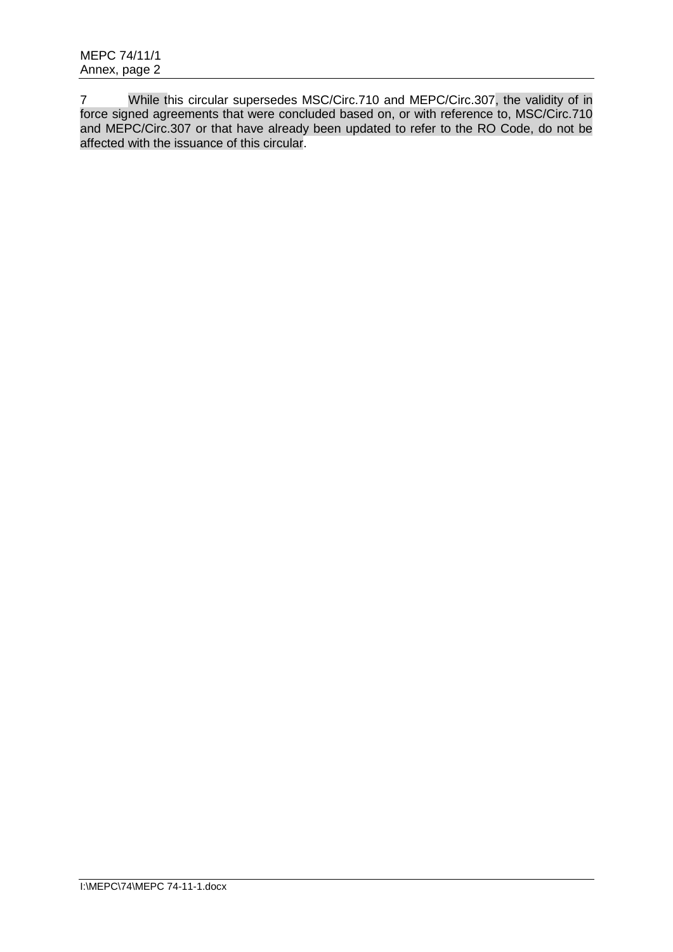7 While this circular supersedes MSC/Circ.710 and MEPC/Circ.307, the validity of in force signed agreements that were concluded based on, or with reference to, MSC/Circ.710 and MEPC/Circ.307 or that have already been updated to refer to the RO Code, do not be affected with the issuance of this circular.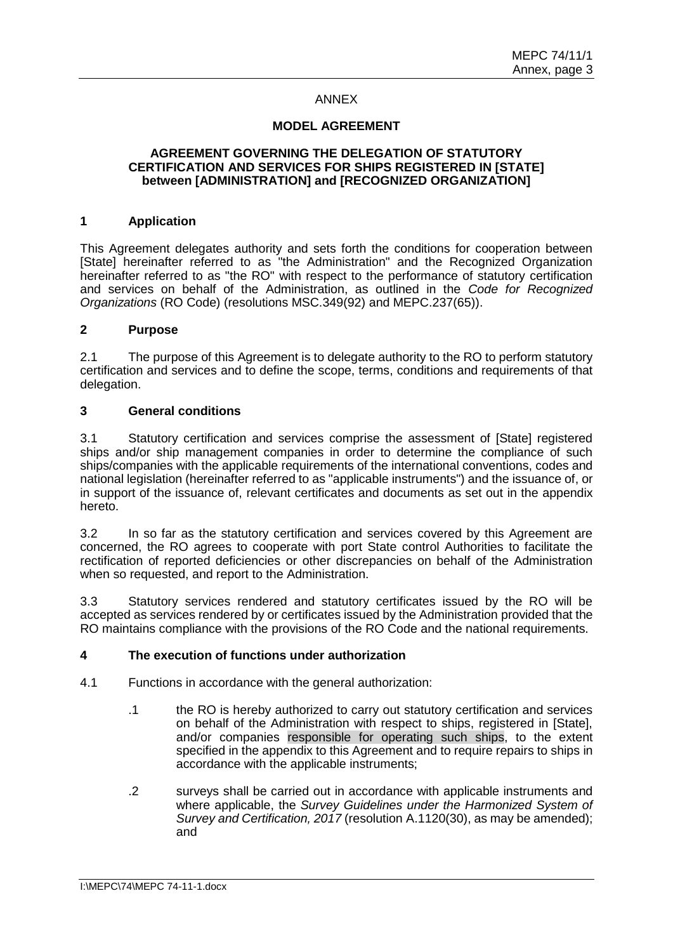## ANNEX

### **MODEL AGREEMENT**

### **AGREEMENT GOVERNING THE DELEGATION OF STATUTORY CERTIFICATION AND SERVICES FOR SHIPS REGISTERED IN [STATE] between [ADMINISTRATION] and [RECOGNIZED ORGANIZATION]**

### **1 Application**

This Agreement delegates authority and sets forth the conditions for cooperation between [State] hereinafter referred to as "the Administration" and the Recognized Organization hereinafter referred to as "the RO" with respect to the performance of statutory certification and services on behalf of the Administration, as outlined in the *Code for Recognized Organizations* (RO Code) (resolutions MSC.349(92) and MEPC.237(65)).

### **2 Purpose**

2.1 The purpose of this Agreement is to delegate authority to the RO to perform statutory certification and services and to define the scope, terms, conditions and requirements of that delegation.

### **3 General conditions**

3.1 Statutory certification and services comprise the assessment of [State] registered ships and/or ship management companies in order to determine the compliance of such ships/companies with the applicable requirements of the international conventions, codes and national legislation (hereinafter referred to as "applicable instruments") and the issuance of, or in support of the issuance of, relevant certificates and documents as set out in the appendix hereto.

3.2 In so far as the statutory certification and services covered by this Agreement are concerned, the RO agrees to cooperate with port State control Authorities to facilitate the rectification of reported deficiencies or other discrepancies on behalf of the Administration when so requested, and report to the Administration.

3.3 Statutory services rendered and statutory certificates issued by the RO will be accepted as services rendered by or certificates issued by the Administration provided that the RO maintains compliance with the provisions of the RO Code and the national requirements.

### **4 The execution of functions under authorization**

- 4.1 Functions in accordance with the general authorization:
	- .1 the RO is hereby authorized to carry out statutory certification and services on behalf of the Administration with respect to ships, registered in [State], and/or companies responsible for operating such ships, to the extent specified in the appendix to this Agreement and to require repairs to ships in accordance with the applicable instruments;
	- .2 surveys shall be carried out in accordance with applicable instruments and where applicable, the *Survey Guidelines under the Harmonized System of Survey and Certification, 2017* (resolution A.1120(30), as may be amended); and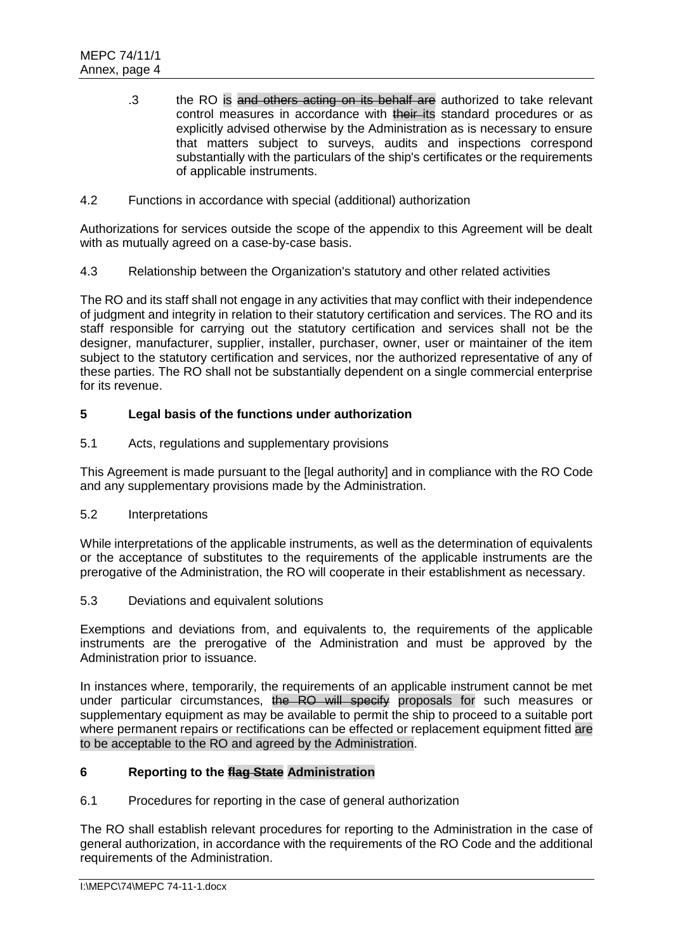- .3 the RO is and others acting on its behalf are authorized to take relevant control measures in accordance with their its standard procedures or as explicitly advised otherwise by the Administration as is necessary to ensure that matters subject to surveys, audits and inspections correspond substantially with the particulars of the ship's certificates or the requirements of applicable instruments.
- 4.2 Functions in accordance with special (additional) authorization

Authorizations for services outside the scope of the appendix to this Agreement will be dealt with as mutually agreed on a case-by-case basis.

4.3 Relationship between the Organization's statutory and other related activities

The RO and its staff shall not engage in any activities that may conflict with their independence of judgment and integrity in relation to their statutory certification and services. The RO and its staff responsible for carrying out the statutory certification and services shall not be the designer, manufacturer, supplier, installer, purchaser, owner, user or maintainer of the item subject to the statutory certification and services, nor the authorized representative of any of these parties. The RO shall not be substantially dependent on a single commercial enterprise for its revenue.

# **5 Legal basis of the functions under authorization**

5.1 Acts, regulations and supplementary provisions

This Agreement is made pursuant to the [legal authority] and in compliance with the RO Code and any supplementary provisions made by the Administration.

5.2 Interpretations

While interpretations of the applicable instruments, as well as the determination of equivalents or the acceptance of substitutes to the requirements of the applicable instruments are the prerogative of the Administration, the RO will cooperate in their establishment as necessary.

5.3 Deviations and equivalent solutions

Exemptions and deviations from, and equivalents to, the requirements of the applicable instruments are the prerogative of the Administration and must be approved by the Administration prior to issuance.

In instances where, temporarily, the requirements of an applicable instrument cannot be met under particular circumstances, the RO will specify proposals for such measures or supplementary equipment as may be available to permit the ship to proceed to a suitable port where permanent repairs or rectifications can be effected or replacement equipment fitted are to be acceptable to the RO and agreed by the Administration.

# **6 Reporting to the flag State Administration**

6.1 Procedures for reporting in the case of general authorization

The RO shall establish relevant procedures for reporting to the Administration in the case of general authorization, in accordance with the requirements of the RO Code and the additional requirements of the Administration.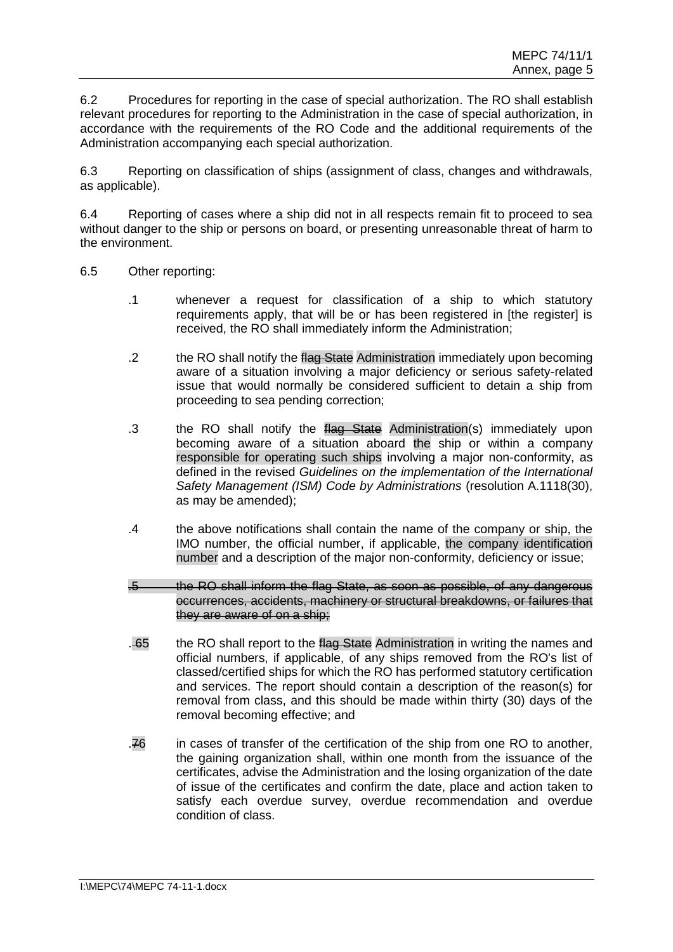6.2 Procedures for reporting in the case of special authorization. The RO shall establish relevant procedures for reporting to the Administration in the case of special authorization, in accordance with the requirements of the RO Code and the additional requirements of the Administration accompanying each special authorization.

6.3 Reporting on classification of ships (assignment of class, changes and withdrawals, as applicable).

6.4 Reporting of cases where a ship did not in all respects remain fit to proceed to sea without danger to the ship or persons on board, or presenting unreasonable threat of harm to the environment.

- 6.5 Other reporting:
	- .1 whenever a request for classification of a ship to which statutory requirements apply, that will be or has been registered in [the register] is received, the RO shall immediately inform the Administration;
	- .2 the RO shall notify the flag State Administration immediately upon becoming aware of a situation involving a major deficiency or serious safety-related issue that would normally be considered sufficient to detain a ship from proceeding to sea pending correction;
	- .3 the RO shall notify the flag State Administration(s) immediately upon becoming aware of a situation aboard the ship or within a company responsible for operating such ships involving a major non-conformity, as defined in the revised *Guidelines on the implementation of the International Safety Management (ISM) Code by Administrations* (resolution A.1118(30), as may be amended);
	- .4 the above notifications shall contain the name of the company or ship, the IMO number, the official number, if applicable, the company identification number and a description of the major non-conformity, deficiency or issue;
	- .5 the RO shall inform the flag State, as soon as possible, of any dangerous occurrences, accidents, machinery or structural breakdowns, or failures that they are aware of on a ship;
	- . 65 the RO shall report to the flag State Administration in writing the names and official numbers, if applicable, of any ships removed from the RO's list of classed/certified ships for which the RO has performed statutory certification and services. The report should contain a description of the reason(s) for removal from class, and this should be made within thirty (30) days of the removal becoming effective; and
	- .76 in cases of transfer of the certification of the ship from one RO to another, the gaining organization shall, within one month from the issuance of the certificates, advise the Administration and the losing organization of the date of issue of the certificates and confirm the date, place and action taken to satisfy each overdue survey, overdue recommendation and overdue condition of class.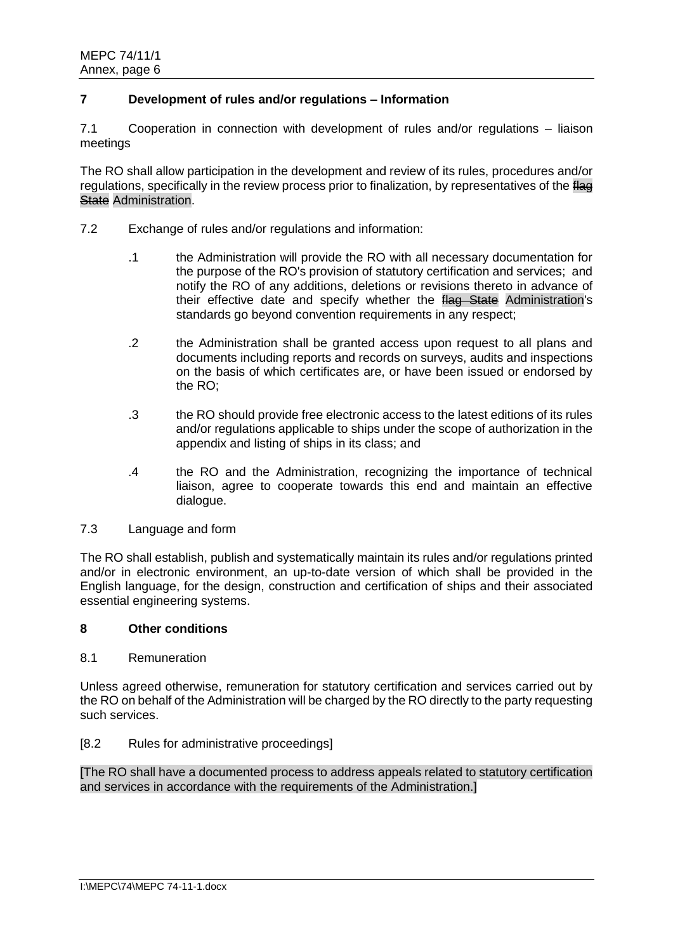## **7 Development of rules and/or regulations – Information**

7.1 Cooperation in connection with development of rules and/or regulations – liaison meetings

The RO shall allow participation in the development and review of its rules, procedures and/or regulations, specifically in the review process prior to finalization, by representatives of the flag **State Administration.** 

- 7.2 Exchange of rules and/or regulations and information:
	- .1 the Administration will provide the RO with all necessary documentation for the purpose of the RO's provision of statutory certification and services; and notify the RO of any additions, deletions or revisions thereto in advance of their effective date and specify whether the flag State Administration's standards go beyond convention requirements in any respect;
	- .2 the Administration shall be granted access upon request to all plans and documents including reports and records on surveys, audits and inspections on the basis of which certificates are, or have been issued or endorsed by the RO;
	- .3 the RO should provide free electronic access to the latest editions of its rules and/or regulations applicable to ships under the scope of authorization in the appendix and listing of ships in its class; and
	- .4 the RO and the Administration, recognizing the importance of technical liaison, agree to cooperate towards this end and maintain an effective dialogue.
- 7.3 Language and form

The RO shall establish, publish and systematically maintain its rules and/or regulations printed and/or in electronic environment, an up-to-date version of which shall be provided in the English language, for the design, construction and certification of ships and their associated essential engineering systems.

## **8 Other conditions**

### 8.1 Remuneration

Unless agreed otherwise, remuneration for statutory certification and services carried out by the RO on behalf of the Administration will be charged by the RO directly to the party requesting such services.

### [8.2 Rules for administrative proceedings]

[The RO shall have a documented process to address appeals related to statutory certification and services in accordance with the requirements of the Administration.]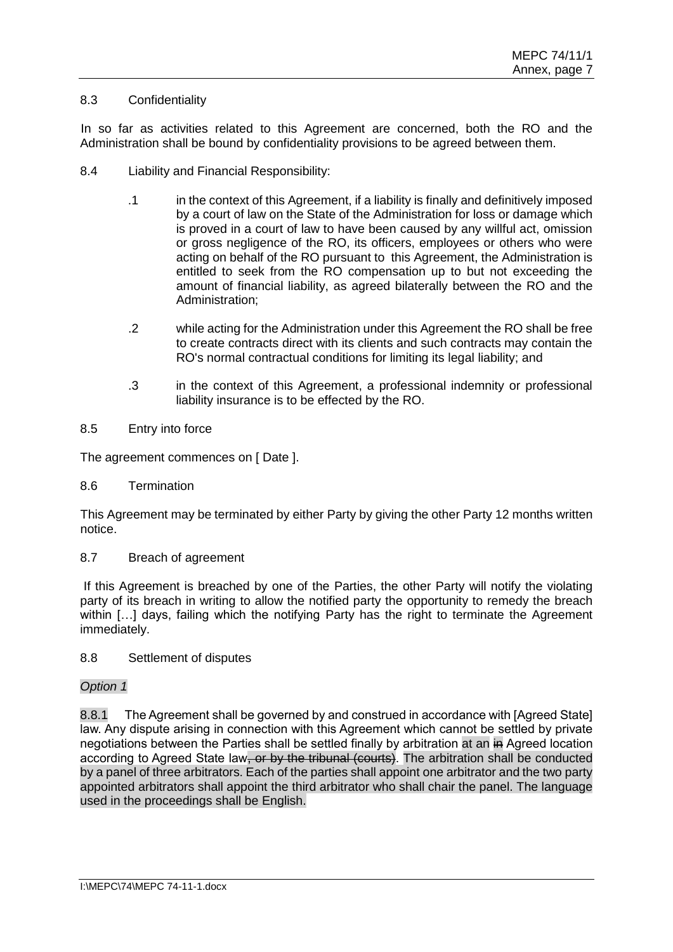## 8.3 Confidentiality

In so far as activities related to this Agreement are concerned, both the RO and the Administration shall be bound by confidentiality provisions to be agreed between them.

- 8.4 Liability and Financial Responsibility:
	- .1 in the context of this Agreement, if a liability is finally and definitively imposed by a court of law on the State of the Administration for loss or damage which is proved in a court of law to have been caused by any willful act, omission or gross negligence of the RO, its officers, employees or others who were acting on behalf of the RO pursuant to this Agreement, the Administration is entitled to seek from the RO compensation up to but not exceeding the amount of financial liability, as agreed bilaterally between the RO and the Administration;
	- .2 while acting for the Administration under this Agreement the RO shall be free to create contracts direct with its clients and such contracts may contain the RO's normal contractual conditions for limiting its legal liability; and
	- .3 in the context of this Agreement, a professional indemnity or professional liability insurance is to be effected by the RO.
- 8.5 Entry into force

The agreement commences on [ Date ].

8.6 Termination

This Agreement may be terminated by either Party by giving the other Party 12 months written notice.

8.7 Breach of agreement

If this Agreement is breached by one of the Parties, the other Party will notify the violating party of its breach in writing to allow the notified party the opportunity to remedy the breach within [...] days, failing which the notifying Party has the right to terminate the Agreement immediately.

8.8 Settlement of disputes

## *Option 1*

8.8.1 The Agreement shall be governed by and construed in accordance with [Agreed State] law. Any dispute arising in connection with this Agreement which cannot be settled by private negotiations between the Parties shall be settled finally by arbitration at an in Agreed location according to Agreed State law, or by the tribunal (courts). The arbitration shall be conducted by a panel of three arbitrators. Each of the parties shall appoint one arbitrator and the two party appointed arbitrators shall appoint the third arbitrator who shall chair the panel. The language used in the proceedings shall be English.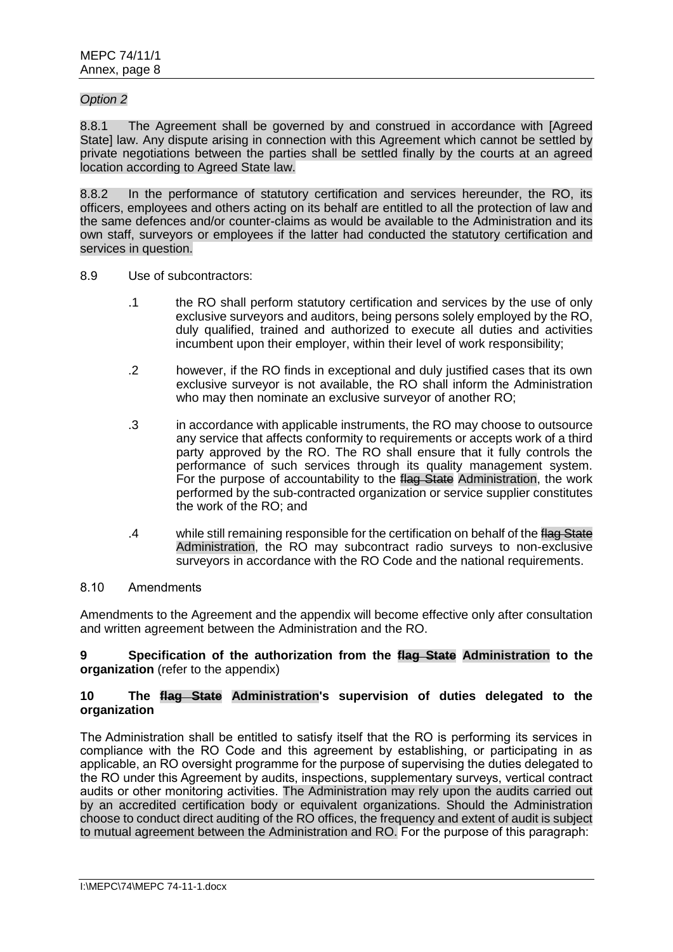## *Option 2*

8.8.1 The Agreement shall be governed by and construed in accordance with [Agreed State] law. Any dispute arising in connection with this Agreement which cannot be settled by private negotiations between the parties shall be settled finally by the courts at an agreed location according to Agreed State law.

8.8.2 In the performance of statutory certification and services hereunder, the RO, its officers, employees and others acting on its behalf are entitled to all the protection of law and the same defences and/or counter-claims as would be available to the Administration and its own staff, surveyors or employees if the latter had conducted the statutory certification and services in question.

### 8.9 Use of subcontractors:

- .1 the RO shall perform statutory certification and services by the use of only exclusive surveyors and auditors, being persons solely employed by the RO, duly qualified, trained and authorized to execute all duties and activities incumbent upon their employer, within their level of work responsibility;
- .2 however, if the RO finds in exceptional and duly justified cases that its own exclusive surveyor is not available, the RO shall inform the Administration who may then nominate an exclusive surveyor of another RO;
- .3 in accordance with applicable instruments, the RO may choose to outsource any service that affects conformity to requirements or accepts work of a third party approved by the RO. The RO shall ensure that it fully controls the performance of such services through its quality management system. For the purpose of accountability to the flag State Administration, the work performed by the sub-contracted organization or service supplier constitutes the work of the RO; and
- .4 while still remaining responsible for the certification on behalf of the flag State Administration, the RO may subcontract radio surveys to non-exclusive survevors in accordance with the RO Code and the national requirements.

### 8.10 Amendments

Amendments to the Agreement and the appendix will become effective only after consultation and written agreement between the Administration and the RO.

### **9 Specification of the authorization from the flag State Administration to the organization** (refer to the appendix)

### **10 The flag State Administration's supervision of duties delegated to the organization**

The Administration shall be entitled to satisfy itself that the RO is performing its services in compliance with the RO Code and this agreement by establishing, or participating in as applicable, an RO oversight programme for the purpose of supervising the duties delegated to the RO under this Agreement by audits, inspections, supplementary surveys, vertical contract audits or other monitoring activities. The Administration may rely upon the audits carried out by an accredited certification body or equivalent organizations. Should the Administration choose to conduct direct auditing of the RO offices, the frequency and extent of audit is subject to mutual agreement between the Administration and RO. For the purpose of this paragraph: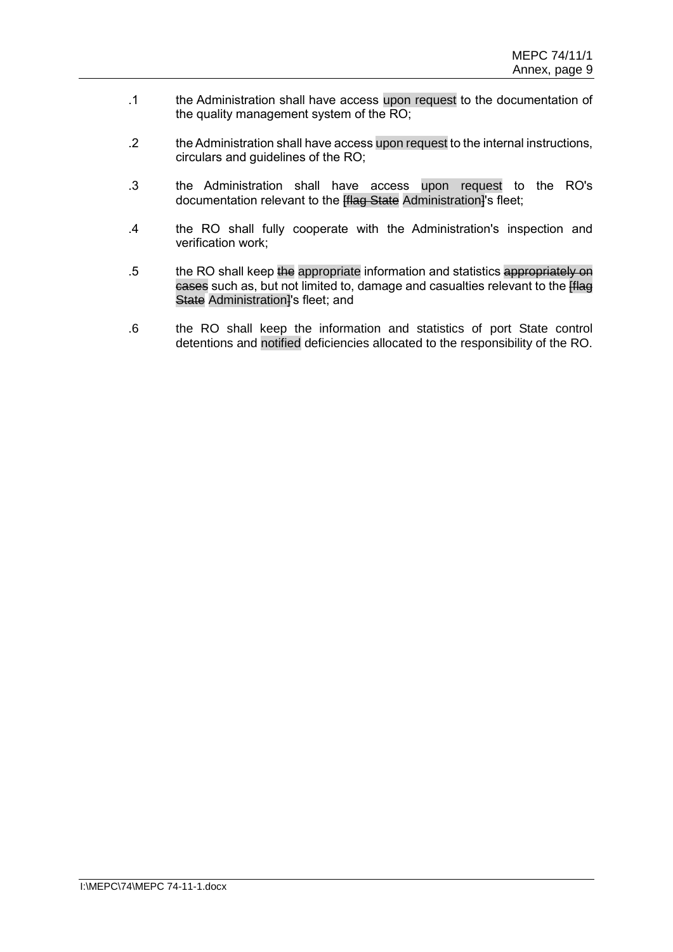- .1 the Administration shall have access upon request to the documentation of the quality management system of the RO;
- .2 the Administration shall have access upon request to the internal instructions, circulars and guidelines of the RO;
- .3 the Administration shall have access upon request to the RO's documentation relevant to the **Hag State** Administration<sup>1</sup>'s fleet;
- .4 the RO shall fully cooperate with the Administration's inspection and verification work;
- .5 the RO shall keep the appropriate information and statistics appropriately on cases such as, but not limited to, damage and casualties relevant to the **[flag**] State Administration<sup>1</sup>'s fleet; and
- .6 the RO shall keep the information and statistics of port State control detentions and notified deficiencies allocated to the responsibility of the RO.